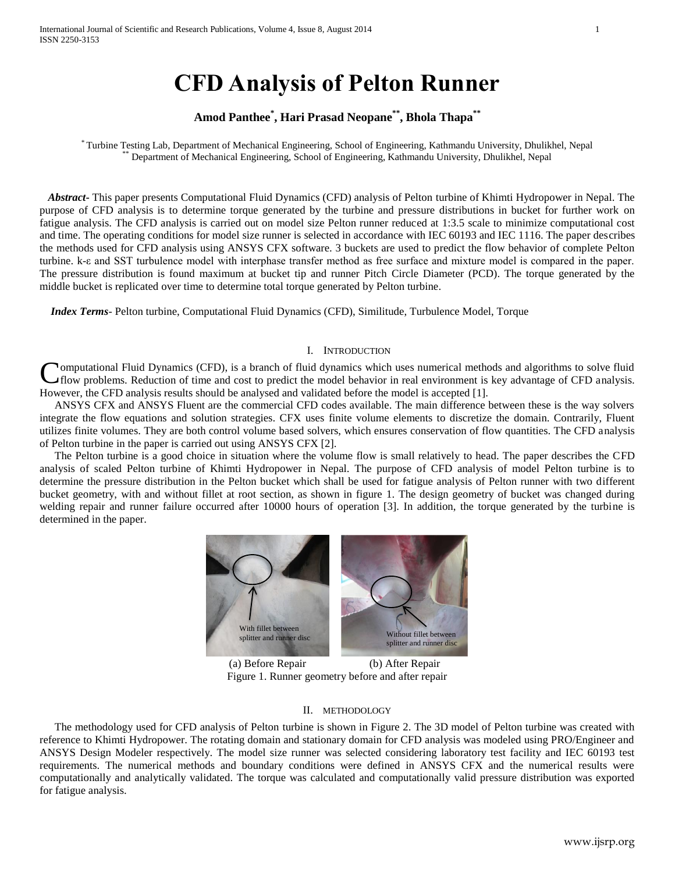# **CFD Analysis of Pelton Runner**

# **Amod Panthee\* , Hari Prasad Neopane \*\* , Bhola Thapa\*\***

\* Turbine Testing Lab, Department of Mechanical Engineering, School of Engineering, Kathmandu University, Dhulikhel, Nepal \*\* Department of Mechanical Engineering, School of Engineering, Kathmandu University, Dhulikhel, Nepal

 *Abstract***-** This paper presents Computational Fluid Dynamics (CFD) analysis of Pelton turbine of Khimti Hydropower in Nepal. The purpose of CFD analysis is to determine torque generated by the turbine and pressure distributions in bucket for further work on fatigue analysis. The CFD analysis is carried out on model size Pelton runner reduced at 1:3.5 scale to minimize computational cost and time. The operating conditions for model size runner is selected in accordance with IEC 60193 and IEC 1116. The paper describes the methods used for CFD analysis using ANSYS CFX software. 3 buckets are used to predict the flow behavior of complete Pelton turbine. k-ε and SST turbulence model with interphase transfer method as free surface and mixture model is compared in the paper. The pressure distribution is found maximum at bucket tip and runner Pitch Circle Diameter (PCD). The torque generated by the middle bucket is replicated over time to determine total torque generated by Pelton turbine.

 *Index Terms*- Pelton turbine, Computational Fluid Dynamics (CFD), Similitude, Turbulence Model, Torque

#### I. INTRODUCTION

**Nomputational Fluid Dynamics (CFD), is a branch of fluid dynamics which uses numerical methods and algorithms to solve fluid** flow problems. Reduction of time and cost to predict the model behavior in real environment is key advantage of CFD analysis. However, the CFD analysis results should be analysed and validated before the model is accepted [1]. C

ANSYS CFX and ANSYS Fluent are the commercial CFD codes available. The main difference between these is the way solvers integrate the flow equations and solution strategies. CFX uses finite volume elements to discretize the domain. Contrarily, Fluent utilizes finite volumes. They are both control volume based solvers, which ensures conservation of flow quantities. The CFD analysis of Pelton turbine in the paper is carried out using ANSYS CFX [2].

The Pelton turbine is a good choice in situation where the volume flow is small relatively to head. The paper describes the CFD analysis of scaled Pelton turbine of Khimti Hydropower in Nepal. The purpose of CFD analysis of model Pelton turbine is to determine the pressure distribution in the Pelton bucket which shall be used for fatigue analysis of Pelton runner with two different bucket geometry, with and without fillet at root section, as shown in figure 1. The design geometry of bucket was changed during welding repair and runner failure occurred after 10000 hours of operation [3]. In addition, the torque generated by the turbine is determined in the paper.



(a) Before Repair (b) After Repair Figure 1. Runner geometry before and after repair

#### II. METHODOLOGY

The methodology used for CFD analysis of Pelton turbine is shown in Figure 2. The 3D model of Pelton turbine was created with reference to Khimti Hydropower. The rotating domain and stationary domain for CFD analysis was modeled using PRO/Engineer and ANSYS Design Modeler respectively. The model size runner was selected considering laboratory test facility and IEC 60193 test requirements. The numerical methods and boundary conditions were defined in ANSYS CFX and the numerical results were computationally and analytically validated. The torque was calculated and computationally valid pressure distribution was exported for fatigue analysis.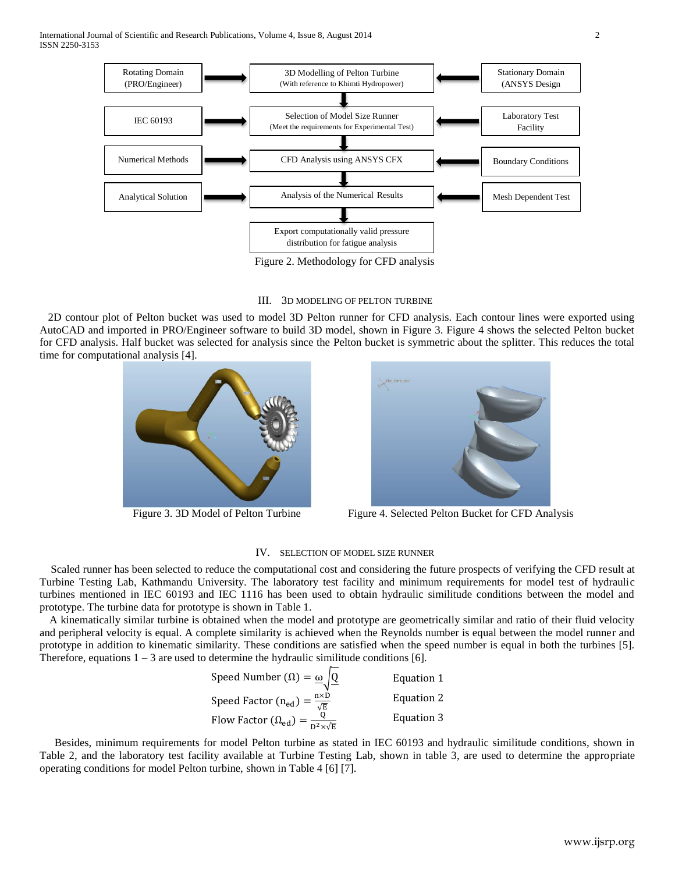International Journal of Scientific and Research Publications, Volume 4, Issue 8, August 2014 2 ISSN 2250-3153



Figure 2. Methodology for CFD analysis

#### III. 3D MODELING OF PELTON TURBINE

 2D contour plot of Pelton bucket was used to model 3D Pelton runner for CFD analysis. Each contour lines were exported using AutoCAD and imported in PRO/Engineer software to build 3D model, shown in Figure 3. Figure 4 shows the selected Pelton bucket for CFD analysis. Half bucket was selected for analysis since the Pelton bucket is symmetric about the splitter. This reduces the total time for computational analysis [4].





Figure 3. 3D Model of Pelton Turbine Figure 4. Selected Pelton Bucket for CFD Analysis

#### IV. SELECTION OF MODEL SIZE RUNNER

 Scaled runner has been selected to reduce the computational cost and considering the future prospects of verifying the CFD result at Turbine Testing Lab, Kathmandu University. The laboratory test facility and minimum requirements for model test of hydraulic turbines mentioned in IEC 60193 and IEC 1116 has been used to obtain hydraulic similitude conditions between the model and prototype. The turbine data for prototype is shown in Table 1.

A kinematically similar turbine is obtained when the model and prototype are geometrically similar and ratio of their fluid velocity and peripheral velocity is equal. A complete similarity is achieved when the Reynolds number is equal between the model runner and prototype in addition to kinematic similarity. These conditions are satisfied when the speed number is equal in both the turbines [5]. Therefore, equations  $1 - 3$  are used to determine the hydraulic similitude conditions [6].

Speed Number 
$$
(\Omega) = \frac{\omega}{\sqrt{Q}}
$$
 Equation 1  
\nSpeed Factor  $(n_{ed}) = \frac{n \times D}{\sqrt{E}}$  Equation 2  
\nFlow Factor  $(\Omega_{ed}) = \frac{Q}{D^2 \times \sqrt{E}}$  Equation 3

Besides, minimum requirements for model Pelton turbine as stated in IEC 60193 and hydraulic similitude conditions, shown in Table 2, and the laboratory test facility available at Turbine Testing Lab, shown in table 3, are used to determine the appropriate operating conditions for model Pelton turbine, shown in Table 4 [6] [7].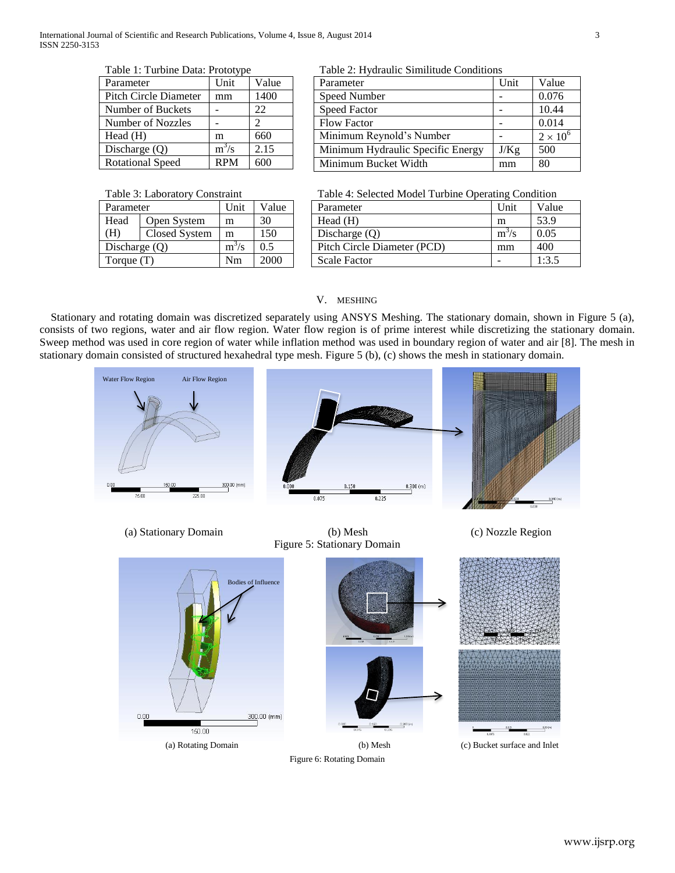Table 1: Turbine Data: Prototype

| Parameter               | Unit       | Value |
|-------------------------|------------|-------|
| Pitch Circle Diameter   | mm         | 1400  |
| Number of Buckets       |            | 22    |
| Number of Nozzles       |            | 2     |
| Head(H)                 | m          | 660   |
| Discharge $(Q)$         | $m^3/s$    | 2.15  |
| <b>Rotational Speed</b> | <b>RPM</b> |       |

Table 2: Hydraulic Similitude Conditions

| Parameter                         | Unit | Value           |
|-----------------------------------|------|-----------------|
| Speed Number                      |      | 0.076           |
| <b>Speed Factor</b>               |      | 10.44           |
| <b>Flow Factor</b>                |      | 0.014           |
| Minimum Reynold's Number          |      | $2 \times 10^6$ |
| Minimum Hydraulic Specific Energy | J/Kg | 500             |
| Minimum Bucket Width              | mm   | 80              |

Table 3: Laboratory Constraint

| Parameter       |               | Unit    | Value |
|-----------------|---------------|---------|-------|
| Head            | Open System   | m       | 30    |
| (H)             | Closed System | m       | 150   |
| Discharge $(Q)$ |               | $m^3/s$ | 0.5   |
| Torque $(T)$    |               | Nm      | 2000  |

Table 4: Selected Model Turbine Operating Condition

| Parameter                   | Unit    | Value |
|-----------------------------|---------|-------|
| Head $(H)$                  | m       | 53.9  |
| Discharge $(Q)$             | $m^3/s$ | 0.05  |
| Pitch Circle Diameter (PCD) | mm      | 400   |
| <b>Scale Factor</b>         |         | 1:3.5 |

## V. MESHING

 Stationary and rotating domain was discretized separately using ANSYS Meshing. The stationary domain, shown in Figure 5 (a), consists of two regions, water and air flow region. Water flow region is of prime interest while discretizing the stationary domain. Sweep method was used in core region of water while inflation method was used in boundary region of water and air [8]. The mesh in stationary domain consisted of structured hexahedral type mesh. Figure 5 (b), (c) shows the mesh in stationary domain.





Figure 6: Rotating Domain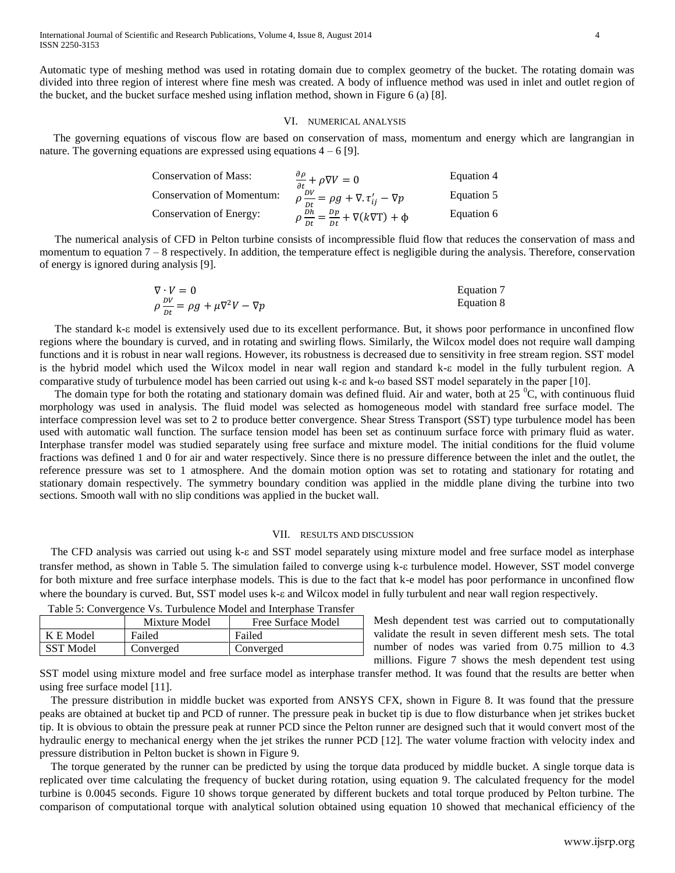Automatic type of meshing method was used in rotating domain due to complex geometry of the bucket. The rotating domain was divided into three region of interest where fine mesh was created. A body of influence method was used in inlet and outlet region of the bucket, and the bucket surface meshed using inflation method, shown in Figure 6 (a) [8].

## VI. NUMERICAL ANALYSIS

 The governing equations of viscous flow are based on conservation of mass, momentum and energy which are langrangian in nature. The governing equations are expressed using equations  $4 - 6$  [9].

| <b>Conservation of Mass:</b>     | $\frac{\partial \rho}{\partial t} + \rho \nabla V = 0$           | Equation 4 |
|----------------------------------|------------------------------------------------------------------|------------|
| <b>Conservation of Momentum:</b> | $ho \frac{DV}{Dt} = \rho g + \nabla \cdot \tau'_{ij} - \nabla p$ | Equation 5 |
| Conservation of Energy:          | $\rho \frac{dh}{dt} = \frac{dp}{dt} + \nabla(k \nabla T) + \Phi$ | Equation 6 |

The numerical analysis of CFD in Pelton turbine consists of incompressible fluid flow that reduces the conservation of mass and momentum to equation 7 – 8 respectively. In addition, the temperature effect is negligible during the analysis. Therefore, conservation of energy is ignored during analysis [9].

$$
\nabla \cdot V = 0
$$
\n
$$
\rho \frac{dV}{dt} = \rho g + \mu \nabla^2 V - \nabla p
$$
\nEquation 8\nEquation 8

The standard k- $\epsilon$  model is extensively used due to its excellent performance. But, it shows poor performance in unconfined flow regions where the boundary is curved, and in rotating and swirling flows. Similarly, the Wilcox model does not require wall damping functions and it is robust in near wall regions. However, its robustness is decreased due to sensitivity in free stream region. SST model is the hybrid model which used the Wilcox model in near wall region and standard k- $\varepsilon$  model in the fully turbulent region. A comparative study of turbulence model has been carried out using k-ε and k-ω based SST model separately in the paper [10].

The domain type for both the rotating and stationary domain was defined fluid. Air and water, both at  $25\degree C$ , with continuous fluid morphology was used in analysis. The fluid model was selected as homogeneous model with standard free surface model. The interface compression level was set to 2 to produce better convergence. Shear Stress Transport (SST) type turbulence model has been used with automatic wall function. The surface tension model has been set as continuum surface force with primary fluid as water. Interphase transfer model was studied separately using free surface and mixture model. The initial conditions for the fluid volume fractions was defined 1 and 0 for air and water respectively. Since there is no pressure difference between the inlet and the outlet, the reference pressure was set to 1 atmosphere. And the domain motion option was set to rotating and stationary for rotating and stationary domain respectively. The symmetry boundary condition was applied in the middle plane diving the turbine into two sections. Smooth wall with no slip conditions was applied in the bucket wall.

#### VII. RESULTS AND DISCUSSION

The CFD analysis was carried out using  $k-\epsilon$  and SST model separately using mixture model and free surface model as interphase transfer method, as shown in Table 5. The simulation failed to converge using k- $\varepsilon$  turbulence model. However, SST model converge for both mixture and free surface interphase models. This is due to the fact that k-e model has poor performance in unconfined flow where the boundary is curved. But, SST model uses  $k-\epsilon$  and Wilcox model in fully turbulent and near wall region respectively.

|                  | Mixture Model | Free Surface Model |
|------------------|---------------|--------------------|
| K E Model        | Failed        | Failed             |
| <b>SST</b> Model | Converged     | Converged          |

Table 5: Convergence Vs. Turbulence Model and Interphase Transfer

Mesh dependent test was carried out to computationally validate the result in seven different mesh sets. The total number of nodes was varied from 0.75 million to 4.3 millions. Figure 7 shows the mesh dependent test using

SST model using mixture model and free surface model as interphase transfer method. It was found that the results are better when using free surface model [11].

The pressure distribution in middle bucket was exported from ANSYS CFX, shown in Figure 8. It was found that the pressure peaks are obtained at bucket tip and PCD of runner. The pressure peak in bucket tip is due to flow disturbance when jet strikes bucket tip. It is obvious to obtain the pressure peak at runner PCD since the Pelton runner are designed such that it would convert most of the hydraulic energy to mechanical energy when the jet strikes the runner PCD [12]. The water volume fraction with velocity index and pressure distribution in Pelton bucket is shown in Figure 9.

The torque generated by the runner can be predicted by using the torque data produced by middle bucket. A single torque data is replicated over time calculating the frequency of bucket during rotation, using equation 9. The calculated frequency for the model turbine is 0.0045 seconds. Figure 10 shows torque generated by different buckets and total torque produced by Pelton turbine. The comparison of computational torque with analytical solution obtained using equation 10 showed that mechanical efficiency of the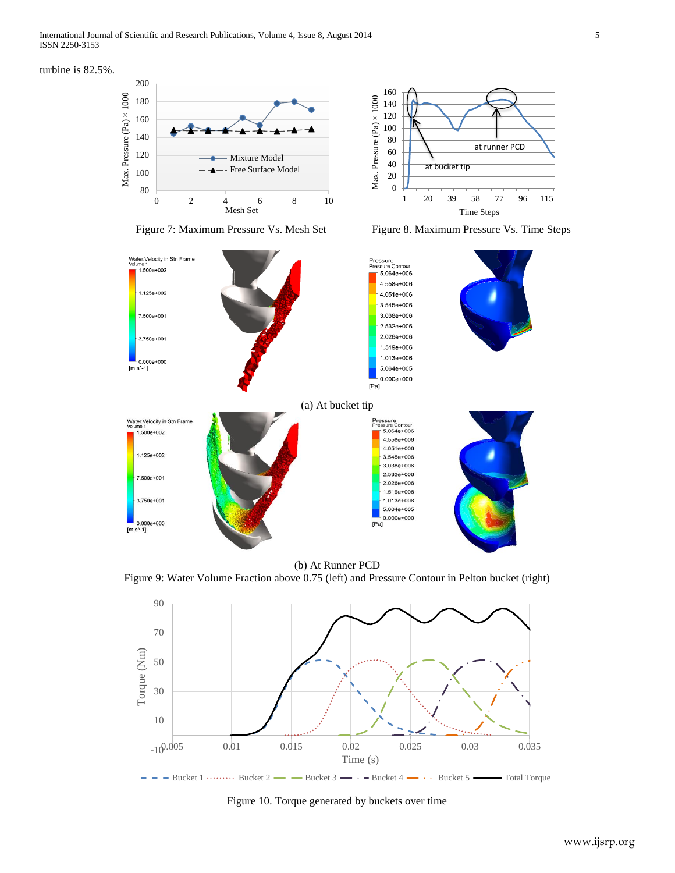turbine is 82.5%.





Figure 7: Maximum Pressure Vs. Mesh Set Figure 8. Maximum Pressure Vs. Time Steps



(b) At Runner PCD

Figure 9: Water Volume Fraction above 0.75 (left) and Pressure Contour in Pelton bucket (right)



Figure 10. Torque generated by buckets over time